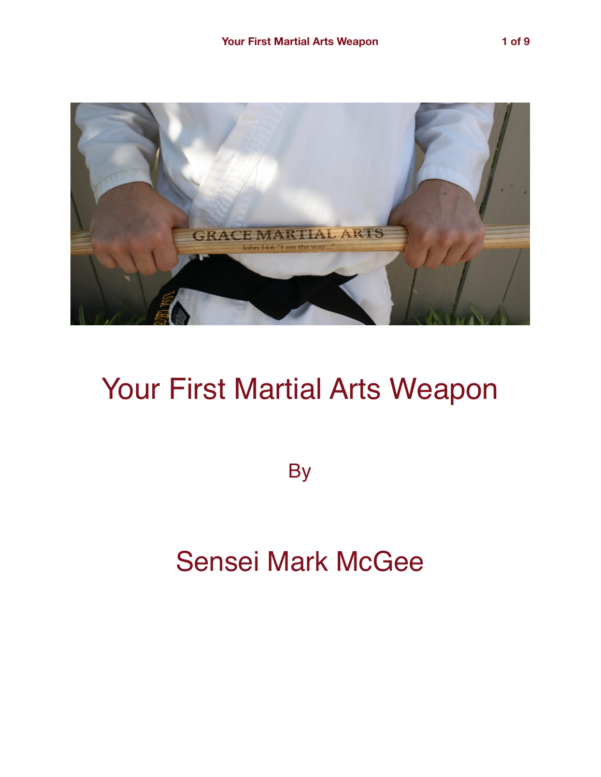

# Your First Martial Arts Weapon

**By** 

## Sensei Mark McGee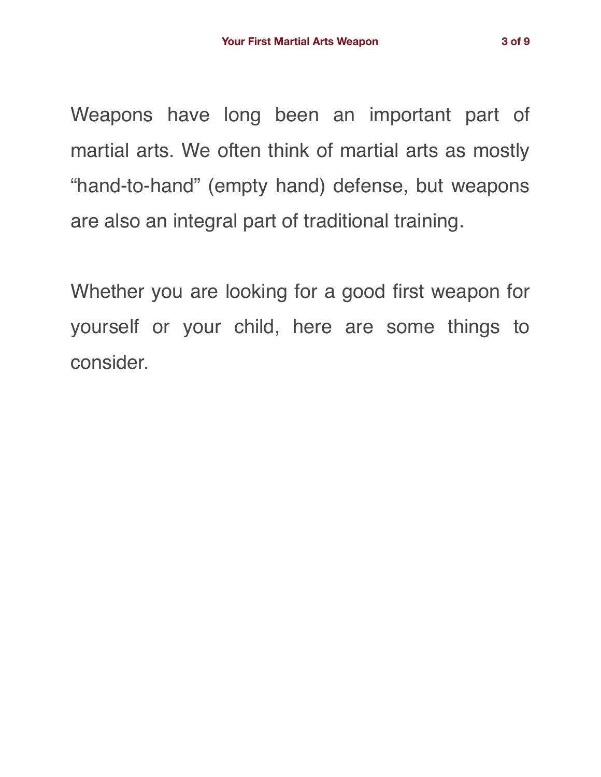Weapons have long been an important part of martial arts. We often think of martial arts as mostly "hand-to-hand" (empty hand) defense, but weapons are also an integral part of traditional training.

Whether you are looking for a good first weapon for yourself or your child, here are some things to consider.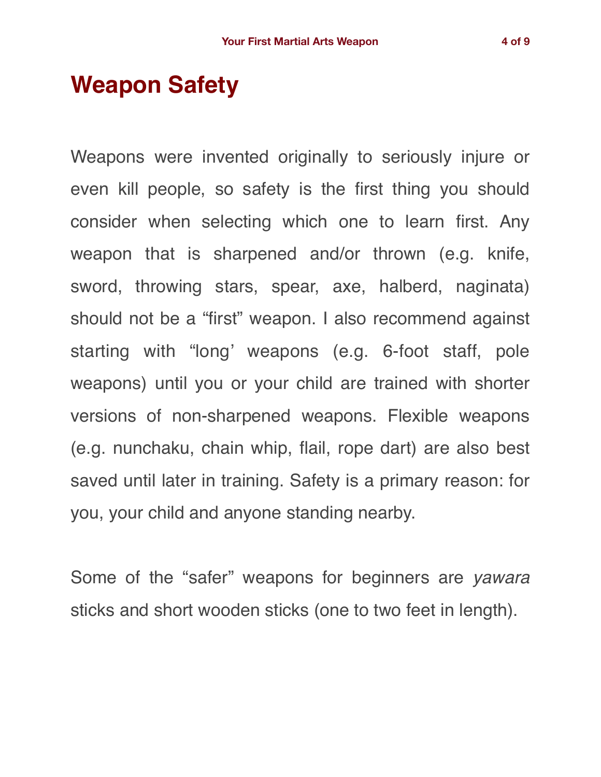#### **Weapon Safety**

Weapons were invented originally to seriously injure or even kill people, so safety is the first thing you should consider when selecting which one to learn first. Any weapon that is sharpened and/or thrown (e.g. knife, sword, throwing stars, spear, axe, halberd, naginata) should not be a "first" weapon. I also recommend against starting with "long' weapons (e.g. 6-foot staff, pole weapons) until you or your child are trained with shorter versions of non-sharpened weapons. Flexible weapons (e.g. nunchaku, chain whip, flail, rope dart) are also best saved until later in training. Safety is a primary reason: for you, your child and anyone standing nearby.

Some of the "safer" weapons for beginners are *yawara* sticks and short wooden sticks (one to two feet in length).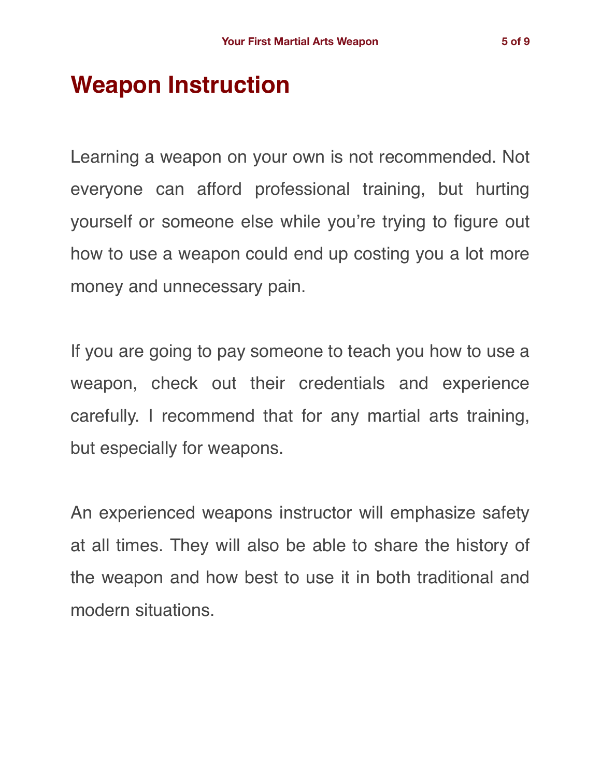### **Weapon Instruction**

Learning a weapon on your own is not recommended. Not everyone can afford professional training, but hurting yourself or someone else while you're trying to figure out how to use a weapon could end up costing you a lot more money and unnecessary pain.

If you are going to pay someone to teach you how to use a weapon, check out their credentials and experience carefully. I recommend that for any martial arts training, but especially for weapons.

An experienced weapons instructor will emphasize safety at all times. They will also be able to share the history of the weapon and how best to use it in both traditional and modern situations.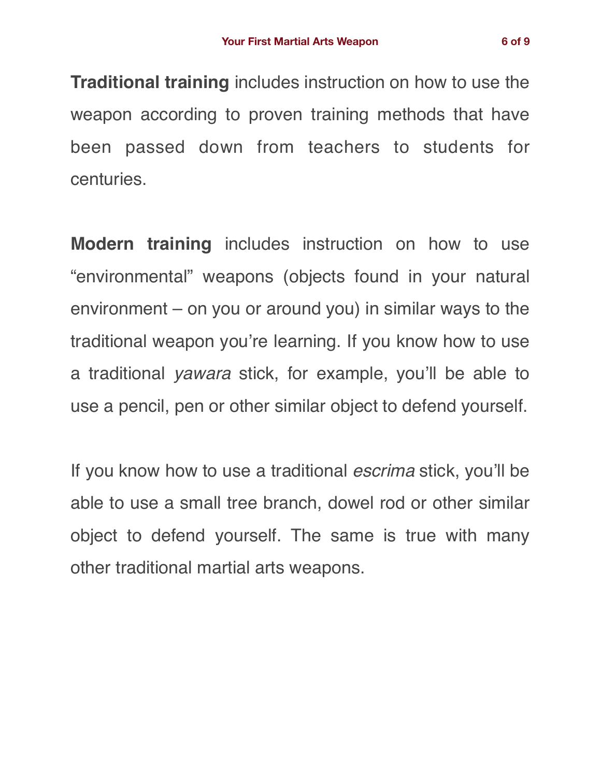**Traditional training** includes instruction on how to use the weapon according to proven training methods that have been passed down from teachers to students for centuries.

**Modern training** includes instruction on how to use "environmental" weapons (objects found in your natural environment – on you or around you) in similar ways to the traditional weapon you're learning. If you know how to use a traditional *yawara* stick, for example, you'll be able to use a pencil, pen or other similar object to defend yourself.

If you know how to use a traditional *escrima* stick, you'll be able to use a small tree branch, dowel rod or other similar object to defend yourself. The same is true with many other traditional martial arts weapons.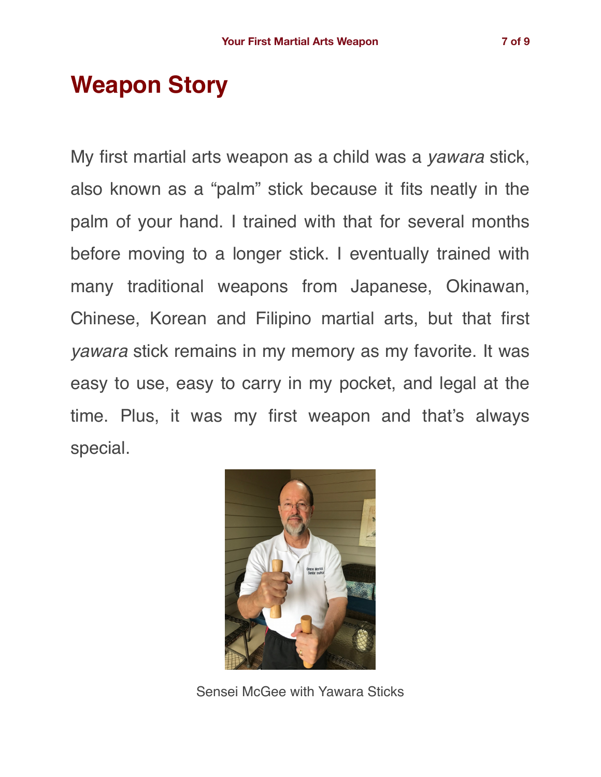### **Weapon Story**

My first martial arts weapon as a child was a *yawara* stick, also known as a "palm" stick because it fits neatly in the palm of your hand. I trained with that for several months before moving to a longer stick. I eventually trained with many traditional weapons from Japanese, Okinawan, Chinese, Korean and Filipino martial arts, but that first *yawara* stick remains in my memory as my favorite. It was easy to use, easy to carry in my pocket, and legal at the time. Plus, it was my first weapon and that's always special.



Sensei McGee with Yawara Sticks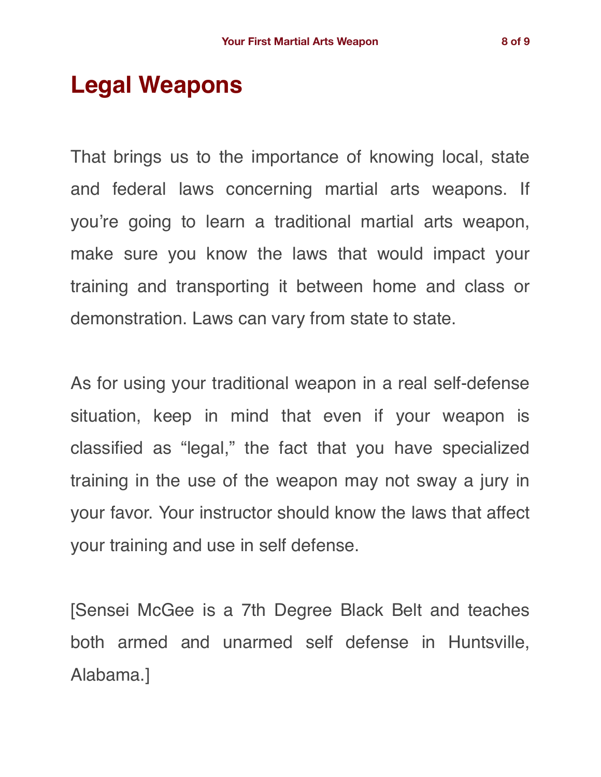#### **Legal Weapons**

That brings us to the importance of knowing local, state and federal laws concerning martial arts weapons. If you're going to learn a traditional martial arts weapon, make sure you know the laws that would impact your training and transporting it between home and class or demonstration. Laws can vary from state to state.

As for using your traditional weapon in a real self-defense situation, keep in mind that even if your weapon is classified as "legal," the fact that you have specialized training in the use of the weapon may not sway a jury in your favor. Your instructor should know the laws that affect your training and use in self defense.

[Sensei McGee is a 7th Degree Black Belt and teaches both armed and unarmed self defense in Huntsville, Alabama.]